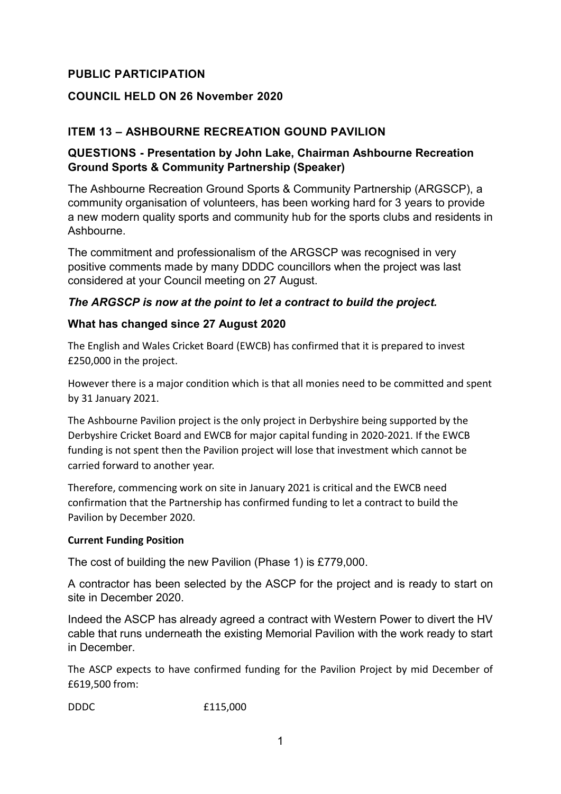# **PUBLIC PARTICIPATION**

#### **COUNCIL HELD ON 26 November 2020**

## **ITEM 13 – ASHBOURNE RECREATION GOUND PAVILION**

#### **QUESTIONS - Presentation by John Lake, Chairman Ashbourne Recreation Ground Sports & Community Partnership (Speaker)**

The Ashbourne Recreation Ground Sports & Community Partnership (ARGSCP), a community organisation of volunteers, has been working hard for 3 years to provide a new modern quality sports and community hub for the sports clubs and residents in Ashbourne.

The commitment and professionalism of the ARGSCP was recognised in very positive comments made by many DDDC councillors when the project was last considered at your Council meeting on 27 August.

#### *The ARGSCP is now at the point to let a contract to build the project.*

#### **What has changed since 27 August 2020**

The English and Wales Cricket Board (EWCB) has confirmed that it is prepared to invest £250,000 in the project.

However there is a major condition which is that all monies need to be committed and spent by 31 January 2021.

The Ashbourne Pavilion project is the only project in Derbyshire being supported by the Derbyshire Cricket Board and EWCB for major capital funding in 2020-2021. If the EWCB funding is not spent then the Pavilion project will lose that investment which cannot be carried forward to another year.

Therefore, commencing work on site in January 2021 is critical and the EWCB need confirmation that the Partnership has confirmed funding to let a contract to build the Pavilion by December 2020.

#### **Current Funding Position**

The cost of building the new Pavilion (Phase 1) is £779,000.

A contractor has been selected by the ASCP for the project and is ready to start on site in December 2020.

Indeed the ASCP has already agreed a contract with Western Power to divert the HV cable that runs underneath the existing Memorial Pavilion with the work ready to start in December.

The ASCP expects to have confirmed funding for the Pavilion Project by mid December of £619,500 from:

DDDC £115,000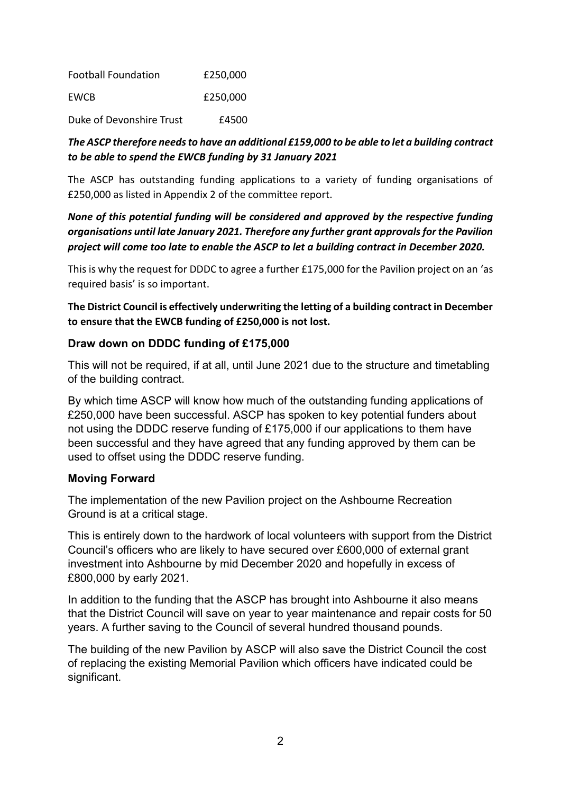Football Foundation £250,000 EWCB £250,000

Duke of Devonshire Trust E4500

# *The ASCP therefore needs to have an additional £159,000 to be able to let a building contract to be able to spend the EWCB funding by 31 January 2021*

The ASCP has outstanding funding applications to a variety of funding organisations of £250,000 as listed in Appendix 2 of the committee report.

# *None of this potential funding will be considered and approved by the respective funding organisations until late January 2021. Therefore any further grant approvals for the Pavilion project will come too late to enable the ASCP to let a building contract in December 2020.*

This is why the request for DDDC to agree a further £175,000 for the Pavilion project on an 'as required basis' is so important.

**The District Council is effectively underwriting the letting of a building contract in December to ensure that the EWCB funding of £250,000 is not lost.** 

# **Draw down on DDDC funding of £175,000**

This will not be required, if at all, until June 2021 due to the structure and timetabling of the building contract.

By which time ASCP will know how much of the outstanding funding applications of £250,000 have been successful. ASCP has spoken to key potential funders about not using the DDDC reserve funding of £175,000 if our applications to them have been successful and they have agreed that any funding approved by them can be used to offset using the DDDC reserve funding.

## **Moving Forward**

The implementation of the new Pavilion project on the Ashbourne Recreation Ground is at a critical stage.

This is entirely down to the hardwork of local volunteers with support from the District Council's officers who are likely to have secured over £600,000 of external grant investment into Ashbourne by mid December 2020 and hopefully in excess of £800,000 by early 2021.

In addition to the funding that the ASCP has brought into Ashbourne it also means that the District Council will save on year to year maintenance and repair costs for 50 years. A further saving to the Council of several hundred thousand pounds.

The building of the new Pavilion by ASCP will also save the District Council the cost of replacing the existing Memorial Pavilion which officers have indicated could be significant.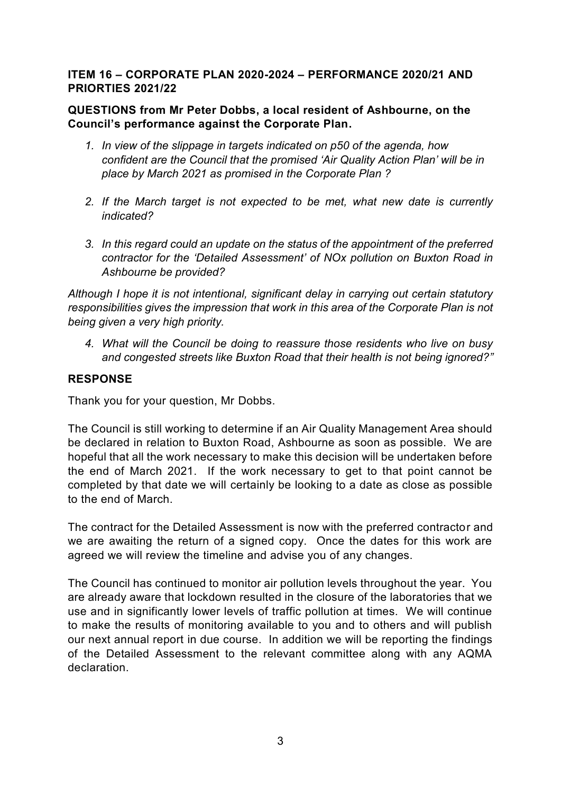#### **ITEM 16 – CORPORATE PLAN 2020-2024 – PERFORMANCE 2020/21 AND PRIORTIES 2021/22**

## **QUESTIONS from Mr Peter Dobbs, a local resident of Ashbourne, on the Council's performance against the Corporate Plan.**

- *1. In view of the slippage in targets indicated on p50 of the agenda, how confident are the Council that the promised 'Air Quality Action Plan' will be in place by March 2021 as promised in the Corporate Plan ?*
- *2. If the March target is not expected to be met, what new date is currently indicated?*
- *3. In this regard could an update on the status of the appointment of the preferred contractor for the 'Detailed Assessment' of NOx pollution on Buxton Road in Ashbourne be provided?*

*Although I hope it is not intentional, significant delay in carrying out certain statutory responsibilities gives the impression that work in this area of the Corporate Plan is not being given a very high priority.* 

*4. What will the Council be doing to reassure those residents who live on busy and congested streets like Buxton Road that their health is not being ignored?"*

## **RESPONSE**

Thank you for your question, Mr Dobbs.

The Council is still working to determine if an Air Quality Management Area should be declared in relation to Buxton Road, Ashbourne as soon as possible. We are hopeful that all the work necessary to make this decision will be undertaken before the end of March 2021. If the work necessary to get to that point cannot be completed by that date we will certainly be looking to a date as close as possible to the end of March.

The contract for the Detailed Assessment is now with the preferred contractor and we are awaiting the return of a signed copy. Once the dates for this work are agreed we will review the timeline and advise you of any changes.

The Council has continued to monitor air pollution levels throughout the year. You are already aware that lockdown resulted in the closure of the laboratories that we use and in significantly lower levels of traffic pollution at times. We will continue to make the results of monitoring available to you and to others and will publish our next annual report in due course. In addition we will be reporting the findings of the Detailed Assessment to the relevant committee along with any AQMA declaration.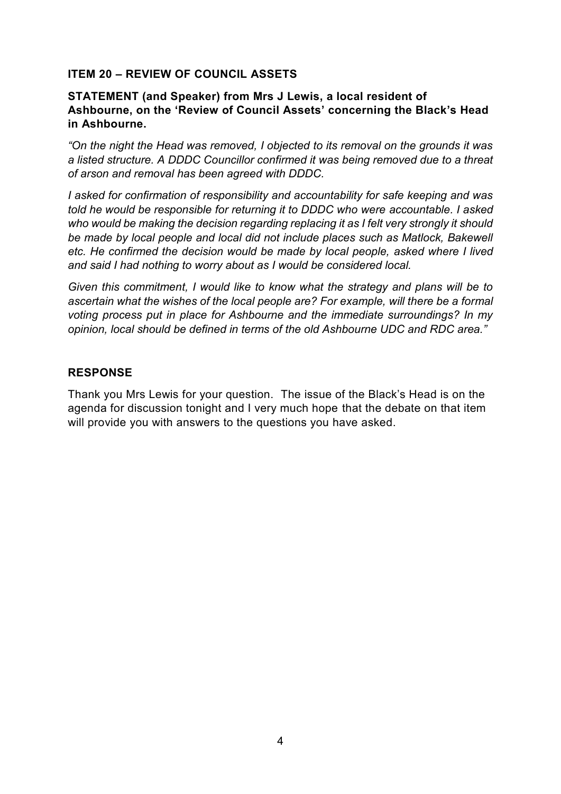#### **ITEM 20 – REVIEW OF COUNCIL ASSETS**

#### **STATEMENT (and Speaker) from Mrs J Lewis, a local resident of Ashbourne, on the 'Review of Council Assets' concerning the Black's Head in Ashbourne.**

*"On the night the Head was removed, I objected to its removal on the grounds it was a listed structure. A DDDC Councillor confirmed it was being removed due to a threat of arson and removal has been agreed with DDDC.* 

*I asked for confirmation of responsibility and accountability for safe keeping and was told he would be responsible for returning it to DDDC who were accountable. I asked who would be making the decision regarding replacing it as I felt very strongly it should be made by local people and local did not include places such as Matlock, Bakewell etc. He confirmed the decision would be made by local people, asked where I lived and said I had nothing to worry about as I would be considered local.*

*Given this commitment, I would like to know what the strategy and plans will be to ascertain what the wishes of the local people are? For example, will there be a formal voting process put in place for Ashbourne and the immediate surroundings? In my opinion, local should be defined in terms of the old Ashbourne UDC and RDC area."*

#### **RESPONSE**

Thank you Mrs Lewis for your question. The issue of the Black's Head is on the agenda for discussion tonight and I very much hope that the debate on that item will provide you with answers to the questions you have asked.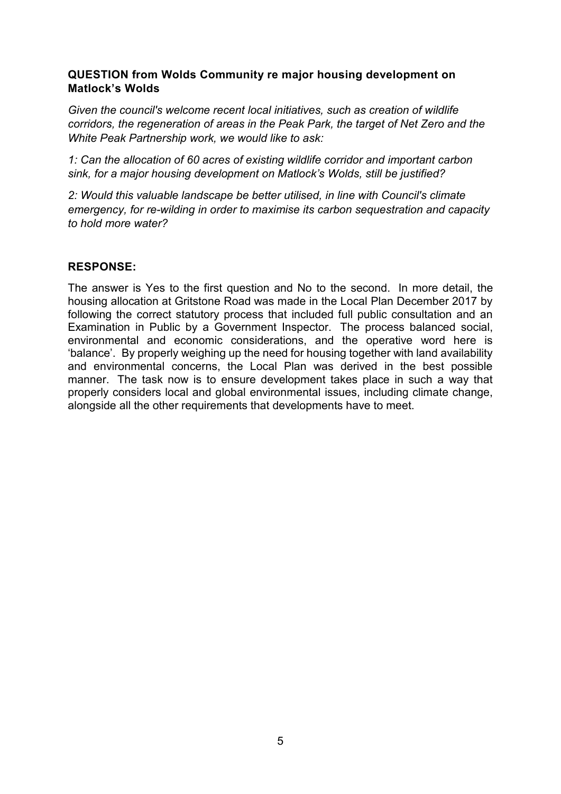## **QUESTION from Wolds Community re major housing development on Matlock's Wolds**

*Given the council's welcome recent local initiatives, such as creation of wildlife corridors, the regeneration of areas in the Peak Park, the target of Net Zero and the White Peak Partnership work, we would like to ask:* 

*1: Can the allocation of 60 acres of existing wildlife corridor and important carbon sink, for a major housing development on Matlock's Wolds, still be justified?*

*2: Would this valuable landscape be better utilised, in line with Council's climate emergency, for re-wilding in order to maximise its carbon sequestration and capacity to hold more water?*

## **RESPONSE:**

The answer is Yes to the first question and No to the second. In more detail, the housing allocation at Gritstone Road was made in the Local Plan December 2017 by following the correct statutory process that included full public consultation and an Examination in Public by a Government Inspector. The process balanced social, environmental and economic considerations, and the operative word here is 'balance'. By properly weighing up the need for housing together with land availability and environmental concerns, the Local Plan was derived in the best possible manner. The task now is to ensure development takes place in such a way that properly considers local and global environmental issues, including climate change, alongside all the other requirements that developments have to meet.